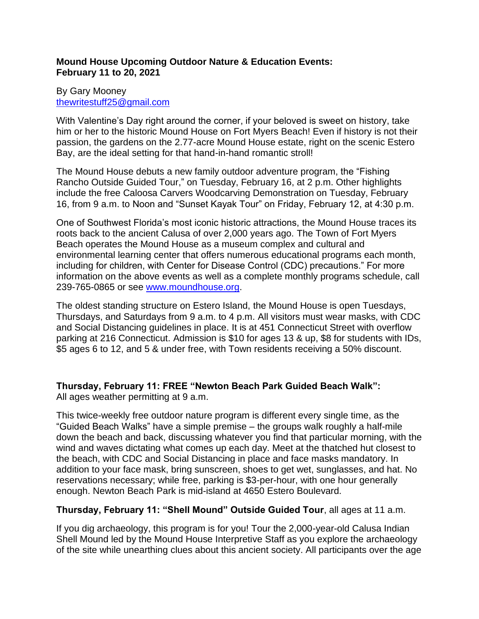## **Mound House Upcoming Outdoor Nature & Education Events: February 11 to 20, 2021**

# By Gary Mooney [thewritestuff25@gmail.com](mailto:thewritestuff25@gmail.com)

With Valentine's Day right around the corner, if your beloved is sweet on history, take him or her to the historic Mound House on Fort Myers Beach! Even if history is not their passion, the gardens on the 2.77-acre Mound House estate, right on the scenic Estero Bay, are the ideal setting for that hand-in-hand romantic stroll!

The Mound House debuts a new family outdoor adventure program, the "Fishing Rancho Outside Guided Tour," on Tuesday, February 16, at 2 p.m. Other highlights include the free Caloosa Carvers Woodcarving Demonstration on Tuesday, February 16, from 9 a.m. to Noon and "Sunset Kayak Tour" on Friday, February 12, at 4:30 p.m.

One of Southwest Florida's most iconic historic attractions, the Mound House traces its roots back to the ancient Calusa of over 2,000 years ago. The Town of Fort Myers Beach operates the Mound House as a museum complex and cultural and environmental learning center that offers numerous educational programs each month, including for children, with Center for Disease Control (CDC) precautions." For more information on the above events as well as a complete monthly programs schedule, call 239-765-0865 or see [www.moundhouse.org.](http://www.moundhouse.org/)

The oldest standing structure on Estero Island, the Mound House is open Tuesdays, Thursdays, and Saturdays from 9 a.m. to 4 p.m. All visitors must wear masks, with CDC and Social Distancing guidelines in place. It is at 451 Connecticut Street with overflow parking at 216 Connecticut. Admission is \$10 for ages 13 & up, \$8 for students with IDs, \$5 ages 6 to 12, and 5 & under free, with Town residents receiving a 50% discount.

# **Thursday, February 11: FREE "Newton Beach Park Guided Beach Walk":**

All ages weather permitting at 9 a.m.

This twice-weekly free outdoor nature program is different every single time, as the "Guided Beach Walks" have a simple premise – the groups walk roughly a half-mile down the beach and back, discussing whatever you find that particular morning, with the wind and waves dictating what comes up each day. Meet at the thatched hut closest to the beach, with CDC and Social Distancing in place and face masks mandatory. In addition to your face mask, bring sunscreen, shoes to get wet, sunglasses, and hat. No reservations necessary; while free, parking is \$3-per-hour, with one hour generally enough. Newton Beach Park is mid-island at 4650 Estero Boulevard.

# **Thursday, February 11: "Shell Mound" Outside Guided Tour**, all ages at 11 a.m.

If you dig archaeology, this program is for you! Tour the 2,000-year-old Calusa Indian Shell Mound led by the Mound House Interpretive Staff as you explore the archaeology of the site while unearthing clues about this ancient society. All participants over the age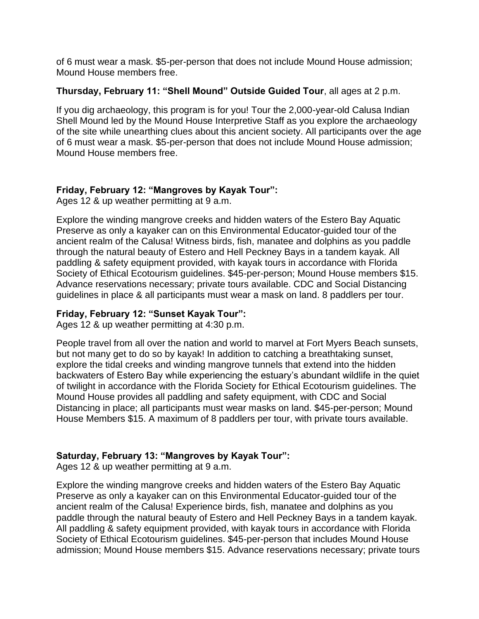of 6 must wear a mask. \$5-per-person that does not include Mound House admission; Mound House members free.

#### **Thursday, February 11: "Shell Mound" Outside Guided Tour**, all ages at 2 p.m.

If you dig archaeology, this program is for you! Tour the 2,000-year-old Calusa Indian Shell Mound led by the Mound House Interpretive Staff as you explore the archaeology of the site while unearthing clues about this ancient society. All participants over the age of 6 must wear a mask. \$5-per-person that does not include Mound House admission; Mound House members free.

# **Friday, February 12: "Mangroves by Kayak Tour":**

Ages 12 & up weather permitting at 9 a.m.

Explore the winding mangrove creeks and hidden waters of the Estero Bay Aquatic Preserve as only a kayaker can on this Environmental Educator-guided tour of the ancient realm of the Calusa! Witness birds, fish, manatee and dolphins as you paddle through the natural beauty of Estero and Hell Peckney Bays in a tandem kayak. All paddling & safety equipment provided, with kayak tours in accordance with Florida Society of Ethical Ecotourism guidelines. \$45-per-person; Mound House members \$15. Advance reservations necessary; private tours available. CDC and Social Distancing guidelines in place & all participants must wear a mask on land. 8 paddlers per tour.

## **Friday, February 12: "Sunset Kayak Tour":**

Ages 12 & up weather permitting at 4:30 p.m.

People travel from all over the nation and world to marvel at Fort Myers Beach sunsets, but not many get to do so by kayak! In addition to catching a breathtaking sunset, explore the tidal creeks and winding mangrove tunnels that extend into the hidden backwaters of Estero Bay while experiencing the estuary's abundant wildlife in the quiet of twilight in accordance with the Florida Society for Ethical Ecotourism guidelines. The Mound House provides all paddling and safety equipment, with CDC and Social Distancing in place; all participants must wear masks on land. \$45-per-person; Mound House Members \$15. A maximum of 8 paddlers per tour, with private tours available.

# **Saturday, February 13: "Mangroves by Kayak Tour":**

Ages 12 & up weather permitting at 9 a.m.

Explore the winding mangrove creeks and hidden waters of the Estero Bay Aquatic Preserve as only a kayaker can on this Environmental Educator-guided tour of the ancient realm of the Calusa! Experience birds, fish, manatee and dolphins as you paddle through the natural beauty of Estero and Hell Peckney Bays in a tandem kayak. All paddling & safety equipment provided, with kayak tours in accordance with Florida Society of Ethical Ecotourism guidelines. \$45-per-person that includes Mound House admission; Mound House members \$15. Advance reservations necessary; private tours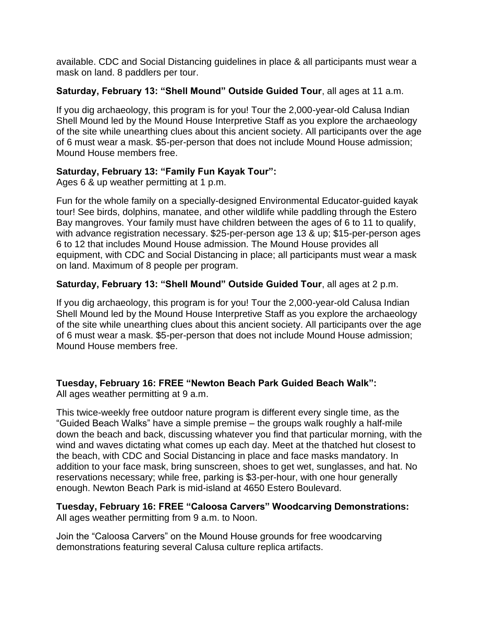available. CDC and Social Distancing guidelines in place & all participants must wear a mask on land. 8 paddlers per tour.

## **Saturday, February 13: "Shell Mound" Outside Guided Tour**, all ages at 11 a.m.

If you dig archaeology, this program is for you! Tour the 2,000-year-old Calusa Indian Shell Mound led by the Mound House Interpretive Staff as you explore the archaeology of the site while unearthing clues about this ancient society. All participants over the age of 6 must wear a mask. \$5-per-person that does not include Mound House admission; Mound House members free.

# **Saturday, February 13: "Family Fun Kayak Tour":**

Ages 6 & up weather permitting at 1 p.m.

Fun for the whole family on a specially-designed Environmental Educator-guided kayak tour! See birds, dolphins, manatee, and other wildlife while paddling through the Estero Bay mangroves. Your family must have children between the ages of 6 to 11 to qualify, with advance registration necessary. \$25-per-person age 13 & up; \$15-per-person ages 6 to 12 that includes Mound House admission. The Mound House provides all equipment, with CDC and Social Distancing in place; all participants must wear a mask on land. Maximum of 8 people per program.

# **Saturday, February 13: "Shell Mound" Outside Guided Tour**, all ages at 2 p.m.

If you dig archaeology, this program is for you! Tour the 2,000-year-old Calusa Indian Shell Mound led by the Mound House Interpretive Staff as you explore the archaeology of the site while unearthing clues about this ancient society. All participants over the age of 6 must wear a mask. \$5-per-person that does not include Mound House admission; Mound House members free.

# **Tuesday, February 16: FREE "Newton Beach Park Guided Beach Walk":**

All ages weather permitting at 9 a.m.

This twice-weekly free outdoor nature program is different every single time, as the "Guided Beach Walks" have a simple premise – the groups walk roughly a half-mile down the beach and back, discussing whatever you find that particular morning, with the wind and waves dictating what comes up each day. Meet at the thatched hut closest to the beach, with CDC and Social Distancing in place and face masks mandatory. In addition to your face mask, bring sunscreen, shoes to get wet, sunglasses, and hat. No reservations necessary; while free, parking is \$3-per-hour, with one hour generally enough. Newton Beach Park is mid-island at 4650 Estero Boulevard.

#### **Tuesday, February 16: FREE "Caloosa Carvers" Woodcarving Demonstrations:** All ages weather permitting from 9 a.m. to Noon.

Join the "Caloosa Carvers" on the Mound House grounds for free woodcarving demonstrations featuring several Calusa culture replica artifacts.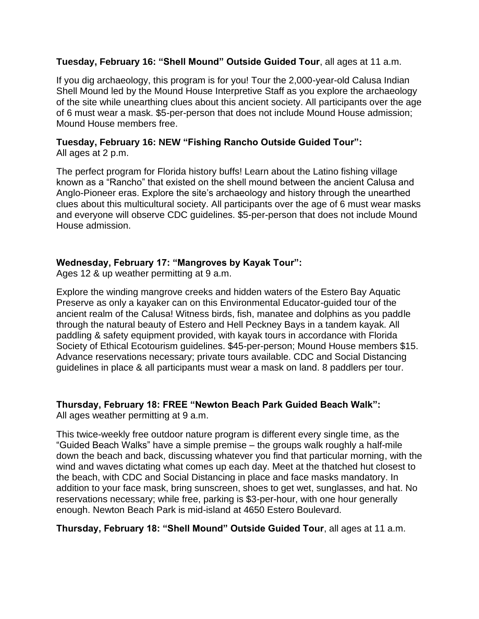#### **Tuesday, February 16: "Shell Mound" Outside Guided Tour**, all ages at 11 a.m.

If you dig archaeology, this program is for you! Tour the 2,000-year-old Calusa Indian Shell Mound led by the Mound House Interpretive Staff as you explore the archaeology of the site while unearthing clues about this ancient society. All participants over the age of 6 must wear a mask. \$5-per-person that does not include Mound House admission; Mound House members free.

## **Tuesday, February 16: NEW "Fishing Rancho Outside Guided Tour":** All ages at 2 p.m.

The perfect program for Florida history buffs! Learn about the Latino fishing village known as a "Rancho" that existed on the shell mound between the ancient Calusa and Anglo-Pioneer eras. Explore the site's archaeology and history through the unearthed clues about this multicultural society. All participants over the age of 6 must wear masks and everyone will observe CDC guidelines. \$5-per-person that does not include Mound House admission.

## **Wednesday, February 17: "Mangroves by Kayak Tour":**

Ages 12 & up weather permitting at 9 a.m.

Explore the winding mangrove creeks and hidden waters of the Estero Bay Aquatic Preserve as only a kayaker can on this Environmental Educator-guided tour of the ancient realm of the Calusa! Witness birds, fish, manatee and dolphins as you paddle through the natural beauty of Estero and Hell Peckney Bays in a tandem kayak. All paddling & safety equipment provided, with kayak tours in accordance with Florida Society of Ethical Ecotourism guidelines. \$45-per-person; Mound House members \$15. Advance reservations necessary; private tours available. CDC and Social Distancing guidelines in place & all participants must wear a mask on land. 8 paddlers per tour.

# **Thursday, February 18: FREE "Newton Beach Park Guided Beach Walk":**

All ages weather permitting at 9 a.m.

This twice-weekly free outdoor nature program is different every single time, as the "Guided Beach Walks" have a simple premise – the groups walk roughly a half-mile down the beach and back, discussing whatever you find that particular morning, with the wind and waves dictating what comes up each day. Meet at the thatched hut closest to the beach, with CDC and Social Distancing in place and face masks mandatory. In addition to your face mask, bring sunscreen, shoes to get wet, sunglasses, and hat. No reservations necessary; while free, parking is \$3-per-hour, with one hour generally enough. Newton Beach Park is mid-island at 4650 Estero Boulevard.

**Thursday, February 18: "Shell Mound" Outside Guided Tour**, all ages at 11 a.m.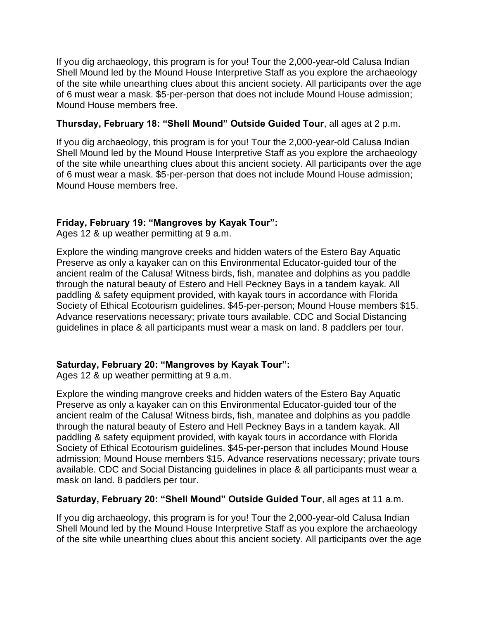If you dig archaeology, this program is for you! Tour the 2,000-year-old Calusa Indian Shell Mound led by the Mound House Interpretive Staff as you explore the archaeology of the site while unearthing clues about this ancient society. All participants over the age of 6 must wear a mask. \$5-per-person that does not include Mound House admission; Mound House members free.

## **Thursday, February 18: "Shell Mound" Outside Guided Tour**, all ages at 2 p.m.

If you dig archaeology, this program is for you! Tour the 2,000-year-old Calusa Indian Shell Mound led by the Mound House Interpretive Staff as you explore the archaeology of the site while unearthing clues about this ancient society. All participants over the age of 6 must wear a mask. \$5-per-person that does not include Mound House admission; Mound House members free.

# **Friday, February 19: "Mangroves by Kayak Tour":**

Ages 12 & up weather permitting at 9 a.m.

Explore the winding mangrove creeks and hidden waters of the Estero Bay Aquatic Preserve as only a kayaker can on this Environmental Educator-guided tour of the ancient realm of the Calusa! Witness birds, fish, manatee and dolphins as you paddle through the natural beauty of Estero and Hell Peckney Bays in a tandem kayak. All paddling & safety equipment provided, with kayak tours in accordance with Florida Society of Ethical Ecotourism guidelines. \$45-per-person; Mound House members \$15. Advance reservations necessary; private tours available. CDC and Social Distancing guidelines in place & all participants must wear a mask on land. 8 paddlers per tour.

# **Saturday, February 20: "Mangroves by Kayak Tour":**

Ages 12 & up weather permitting at 9 a.m.

Explore the winding mangrove creeks and hidden waters of the Estero Bay Aquatic Preserve as only a kayaker can on this Environmental Educator-guided tour of the ancient realm of the Calusa! Witness birds, fish, manatee and dolphins as you paddle through the natural beauty of Estero and Hell Peckney Bays in a tandem kayak. All paddling & safety equipment provided, with kayak tours in accordance with Florida Society of Ethical Ecotourism guidelines. \$45-per-person that includes Mound House admission; Mound House members \$15. Advance reservations necessary; private tours available. CDC and Social Distancing guidelines in place & all participants must wear a mask on land. 8 paddlers per tour.

## **Saturday, February 20: "Shell Mound" Outside Guided Tour**, all ages at 11 a.m.

If you dig archaeology, this program is for you! Tour the 2,000-year-old Calusa Indian Shell Mound led by the Mound House Interpretive Staff as you explore the archaeology of the site while unearthing clues about this ancient society. All participants over the age